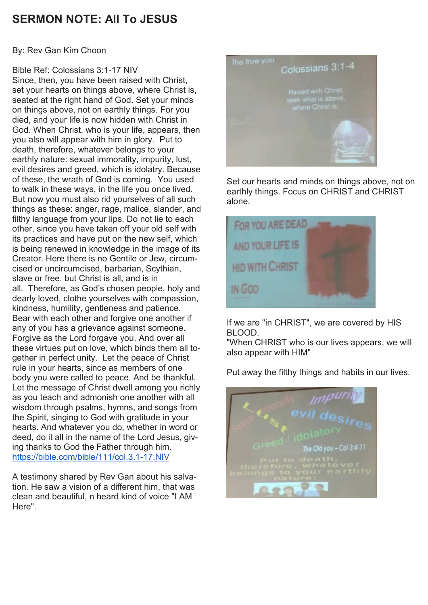## **SERMON NOTE: All To JESUS**

## By: Rev Gan Kim Choon

Bible Ref: Colossians 3:1-17 NIV Since, then, you have been raised with Christ, set your hearts on things above, where Christ is, seated at the right hand of God. Set your minds on things above, not on earthly things. For you died, and your life is now hidden with Christ in God. When Christ, who is your life, appears, then you also will appear with him in glory. Put to death, therefore, whatever belongs to your earthly nature: sexual immorality, impurity, lust, evil desires and greed, which is idolatry. Because of these, the wrath of God is coming. You used to walk in these ways, in the life you once lived. But now you must also rid yourselves of all such things as these: anger, rage, malice, slander, and filthy language from your lips. Do not lie to each other, since you have taken off your old self with its practices and have put on the new self, which is being renewed in knowledge in the image of its Creator. Here there is no Gentile or Jew, circumcised or uncircumcised, barbarian, Scythian, slave or free, but Christ is all, and is in all. Therefore, as God's chosen people, holy and dearly loved, clothe yourselves with compassion, kindness, humility, gentleness and patience. Bear with each other and forgive one another if any of you has a grievance against someone. Forgive as the Lord forgave you. And over all these virtues put on love, which binds them all together in perfect unity. Let the peace of Christ rule in your hearts, since as members of one body you were called to peace. And be thankful. Let the message of Christ dwell among you richly as you teach and admonish one another with all wisdom through psalms, hymns, and songs from the Spirit, singing to God with gratitude in your hearts. And whatever you do, whether in word or deed, do it all in the name of the Lord Jesus, giving thanks to God the Father through him. <https://bible.com/bible/111/col.3.1-17.NIV>

A testimony shared by Rev Gan about his salvation. He saw a vision of a different him, that was clean and beautiful, n heard kind of voice "I AM Here".



Set our hearts and minds on things above, not on earthly things. Focus on CHRIST and CHRIST alone.



If we are "in CHRIST", we are covered by HIS BLOOD.

"When CHRIST who is our lives appears, we will also appear with HIM"

Put away the filthy things and habits in our lives.

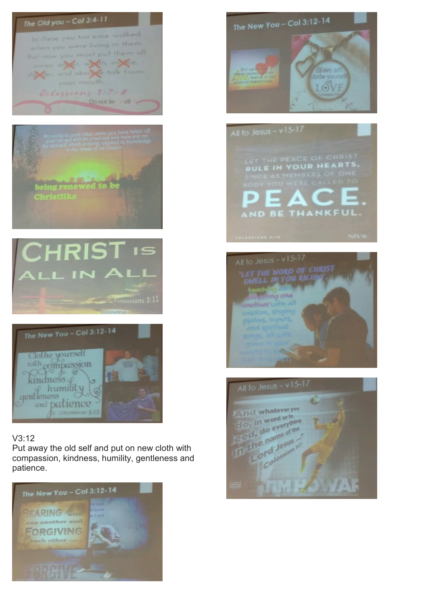





## V3:12

Put away the old self and put on new cloth with compassion, kindness, humility, gentleness and patience.





Olive all lothe vourse

LOVE